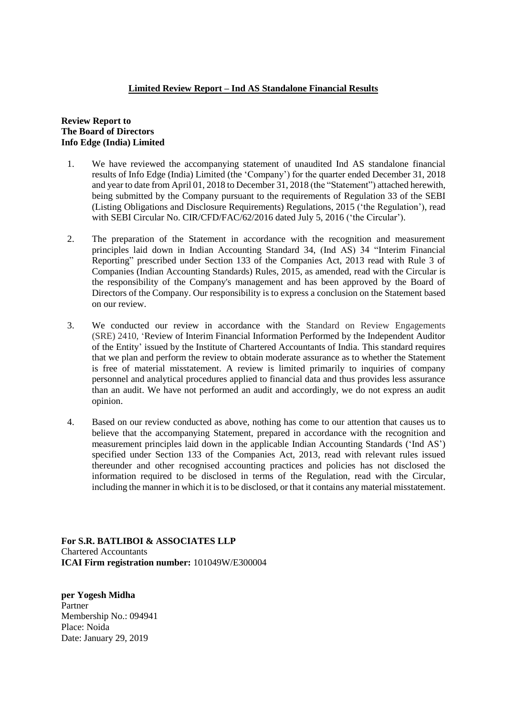## **Limited Review Report – Ind AS Standalone Financial Results**

## **Review Report to The Board of Directors Info Edge (India) Limited**

- 1. We have reviewed the accompanying statement of unaudited Ind AS standalone financial results of Info Edge (India) Limited (the 'Company') for the quarter ended December 31, 2018 and year to date from April 01, 2018 to December 31, 2018 (the "Statement") attached herewith, being submitted by the Company pursuant to the requirements of Regulation 33 of the SEBI (Listing Obligations and Disclosure Requirements) Regulations, 2015 ('the Regulation'), read with SEBI Circular No. CIR/CFD/FAC/62/2016 dated July 5, 2016 ('the Circular').
- 2. The preparation of the Statement in accordance with the recognition and measurement principles laid down in Indian Accounting Standard 34, (Ind AS) 34 "Interim Financial Reporting" prescribed under Section 133 of the Companies Act, 2013 read with Rule 3 of Companies (Indian Accounting Standards) Rules, 2015, as amended, read with the Circular is the responsibility of the Company's management and has been approved by the Board of Directors of the Company. Our responsibility is to express a conclusion on the Statement based on our review.
- 3. We conducted our review in accordance with the Standard on Review Engagements (SRE) 2410, 'Review of Interim Financial Information Performed by the Independent Auditor of the Entity' issued by the Institute of Chartered Accountants of India. This standard requires that we plan and perform the review to obtain moderate assurance as to whether the Statement is free of material misstatement. A review is limited primarily to inquiries of company personnel and analytical procedures applied to financial data and thus provides less assurance than an audit. We have not performed an audit and accordingly, we do not express an audit opinion.
- 4. Based on our review conducted as above, nothing has come to our attention that causes us to believe that the accompanying Statement, prepared in accordance with the recognition and measurement principles laid down in the applicable Indian Accounting Standards ('Ind AS') specified under Section 133 of the Companies Act, 2013, read with relevant rules issued thereunder and other recognised accounting practices and policies has not disclosed the information required to be disclosed in terms of the Regulation, read with the Circular, including the manner in which it is to be disclosed, or that it contains any material misstatement.

**For S.R. BATLIBOI & ASSOCIATES LLP**  Chartered Accountants **ICAI Firm registration number:** 101049W/E300004

**per Yogesh Midha** Partner Membership No.: 094941 Place: Noida Date: January 29, 2019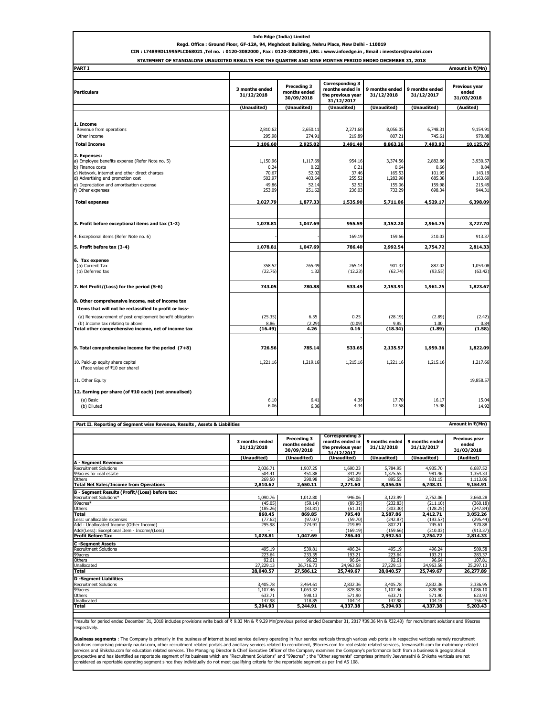| <b>Info Edge (India) Limited</b>                                                                                                                                                                                                    |                                                        |                                                        |                                                                              |                                                            |                                                          |                                                            |  |
|-------------------------------------------------------------------------------------------------------------------------------------------------------------------------------------------------------------------------------------|--------------------------------------------------------|--------------------------------------------------------|------------------------------------------------------------------------------|------------------------------------------------------------|----------------------------------------------------------|------------------------------------------------------------|--|
| Regd. Office : Ground Floor, GF-12A, 94, Meghdoot Building, Nehru Place, New Delhi - 110019                                                                                                                                         |                                                        |                                                        |                                                                              |                                                            |                                                          |                                                            |  |
| CIN: L74899DL1995PLC068021, Tel no.: 0120-3082000, Fax: 0120-3082095, URL: www.infoedge.in, Email: investors@naukri.com<br>STATEMENT OF STANDALONE UNAUDITED RESULTS FOR THE QUARTER AND NINE MONTHS PERIOD ENDED DECEMBER 31, 2018 |                                                        |                                                        |                                                                              |                                                            |                                                          |                                                            |  |
| <b>PART I</b><br>Amount in ₹(Mn)                                                                                                                                                                                                    |                                                        |                                                        |                                                                              |                                                            |                                                          |                                                            |  |
|                                                                                                                                                                                                                                     |                                                        |                                                        |                                                                              |                                                            |                                                          |                                                            |  |
| <b>Particulars</b>                                                                                                                                                                                                                  | 3 months ended<br>31/12/2018                           | Preceding 3<br>months ended<br>30/09/2018              | <b>Corresponding 3</b><br>months ended in<br>the previous year<br>31/12/2017 | 9 months ended<br>31/12/2018                               | 9 months ended<br>31/12/2017                             | Previous year<br>ended<br>31/03/2018                       |  |
|                                                                                                                                                                                                                                     | (Unaudited)                                            | (Unaudited)                                            | (Unaudited)                                                                  | (Unaudited)                                                | (Unaudited)                                              | (Audited)                                                  |  |
| 1. Income<br>Revenue from operations<br>Other income<br><b>Total Income</b>                                                                                                                                                         | 2,810.62<br>295.98<br>3,106.60                         | 2,650.11<br>274.9<br>2,925.02                          | 2,271.60<br>219.89<br>2,491.49                                               | 8,056.05<br>807.21<br>8,863.26                             | 6,748.31<br>745.61<br>7,493.92                           | 9,154.91<br>970.88<br>10,125.79                            |  |
| 2. Expenses:                                                                                                                                                                                                                        |                                                        |                                                        |                                                                              |                                                            |                                                          |                                                            |  |
| a) Employee benefits expense (Refer Note no. 5)<br>b) Finance costs<br>c) Network, internet and other direct charges<br>d) Advertising and promotion cost<br>e) Depreciation and amortisation expense<br>f) Other expenses          | 1,150.96<br>0.24<br>70.67<br>502.97<br>49.86<br>253.09 | 1,117.69<br>0.22<br>52.02<br>403.64<br>52.14<br>251.62 | 954.16<br>0.21<br>37.46<br>255.52<br>52.52<br>236.03                         | 3,374.56<br>0.64<br>165.53<br>1,282.98<br>155.06<br>732.29 | 2,882.86<br>0.66<br>101.95<br>685.38<br>159.98<br>698.34 | 3,930.57<br>0.84<br>143.19<br>1,163.69<br>215.49<br>944.31 |  |
| <b>Total expenses</b>                                                                                                                                                                                                               | 2,027.79                                               | 1,877.33                                               | 1,535.90                                                                     | 5,711.06                                                   | 4,529.17                                                 | 6,398.09                                                   |  |
|                                                                                                                                                                                                                                     |                                                        |                                                        |                                                                              |                                                            |                                                          |                                                            |  |
| 3. Profit before exceptional items and tax (1-2)                                                                                                                                                                                    | 1,078.81                                               | 1,047.69                                               | 955.59                                                                       | 3,152.20                                                   | 2,964.75                                                 | 3,727.70                                                   |  |
| 4. Exceptional items (Refer Note no. 6)                                                                                                                                                                                             |                                                        |                                                        | 169.19                                                                       | 159.66                                                     | 210.03                                                   | 913.37                                                     |  |
| 5. Profit before tax (3-4)                                                                                                                                                                                                          | 1,078.81                                               | 1,047.69                                               | 786.40                                                                       | 2,992.54                                                   | 2,754.72                                                 | 2,814.33                                                   |  |
| 6. Tax expense<br>(a) Current Tax<br>(b) Deferred tax                                                                                                                                                                               | 358.52<br>(22.76)                                      | 265.49<br>1.32                                         | 265.14<br>(12.23)                                                            | 901.37<br>(62.74)                                          | 887.02<br>(93.55)                                        | 1,054.08<br>(63.42)                                        |  |
| 7. Net Profit/(Loss) for the period (5-6)                                                                                                                                                                                           | 743.05                                                 | 780.88                                                 | 533.49                                                                       | 2,153.91                                                   | 1,961.25                                                 | 1,823.67                                                   |  |
| 8. Other comprehensive income, net of income tax<br>Items that will not be reclassified to profit or loss-<br>(a) Remeasurement of post employment benefit obligation<br>(b) Income tax relating to above                           | (25.35)<br>8.86                                        | 6.55<br>(2.29)                                         | 0.25<br>(0.09)                                                               | (28.19)<br>9.85                                            | (2.89)<br>1.00                                           | (2.42)<br>0.84                                             |  |
| Total other comprehensive income, net of income tax                                                                                                                                                                                 | (16.49)                                                | 4.26                                                   | 0.16                                                                         | (18.34)                                                    | (1.89)                                                   | (1.58)                                                     |  |
| 9. Total comprehensive income for the period $(7+8)$                                                                                                                                                                                | 726.56                                                 | 785.14                                                 | 533.65                                                                       | 2,135.57                                                   | 1,959.36                                                 | 1,822.09                                                   |  |
| 10. Paid-up equity share capital<br>(Face value of ₹10 per share)                                                                                                                                                                   | 1,221.16                                               | 1,219.16                                               | 1,215.16                                                                     | 1,221.16                                                   | 1,215.16                                                 | 1,217.66                                                   |  |
| 11. Other Equity                                                                                                                                                                                                                    |                                                        |                                                        |                                                                              |                                                            |                                                          | 19,858.57                                                  |  |
| 12. Earning per share (of ₹10 each) (not annualised)<br>(a) Basic<br>(b) Diluted                                                                                                                                                    | 6.10<br>6.06                                           | 6.41<br>6.36                                           | 4.39<br>4.34                                                                 | 17.70<br>17.58                                             | 16.17<br>15.98                                           | 15.04<br>14.92                                             |  |

| Part II. Reporting of Segment wise Revenue, Results , Assets & Liabilities |                              |                                           |                                                                              |                              |                              | Amount in ₹(Mn)                      |
|----------------------------------------------------------------------------|------------------------------|-------------------------------------------|------------------------------------------------------------------------------|------------------------------|------------------------------|--------------------------------------|
|                                                                            |                              |                                           |                                                                              |                              |                              |                                      |
|                                                                            | 3 months ended<br>31/12/2018 | Preceding 3<br>months ended<br>30/09/2018 | <b>Corresponding 3</b><br>months ended in<br>the previous year<br>31/12/2017 | 9 months ended<br>31/12/2018 | 9 months ended<br>31/12/2017 | Previous year<br>ended<br>31/03/2018 |
|                                                                            | (Unaudited)                  | (Unaudited)                               | (Unaudited)                                                                  | (Unaudited)                  | (Unaudited)                  | (Audited)                            |
| A - Segment Revenue:                                                       |                              |                                           |                                                                              |                              |                              |                                      |
| <b>Recruitment Solutions</b>                                               | 2.036.71                     | 1.907.25                                  | 1.690.23                                                                     | 5.784.95                     | 4,935.70                     | 6.687.52                             |
| 99acres for real estate                                                    | 504.41                       | 451.88                                    | 341.29                                                                       | 1,375.55                     | 981.46                       | 1,354.33                             |
| Others                                                                     | 269.50                       | 290.98                                    | 240.08                                                                       | 895.55                       | 831.15                       | 1,113,06                             |
| <b>Total Net Sales/Income from Operations</b>                              | 2,810.62                     | 2,650.11                                  | 2,271.60                                                                     | 8,056.05                     | 6,748.31                     | 9,154.91                             |
| B - Segment Results (Profit/(Loss) before tax:                             |                              |                                           |                                                                              |                              |                              |                                      |
| Recruitment Solutions*                                                     | 1.090.76                     | 1.012.80                                  | 946.06                                                                       | 3.123.99                     | 2,752.06                     | 3.660.28                             |
| 99acres*                                                                   | (45.05)                      | (59.14)                                   | (89.35)                                                                      | (232.83)                     | (211.10)                     | (360.18)                             |
| Others                                                                     | (185.26)                     | (83.81)                                   | (61.31)                                                                      | (303.30)                     | (128.25)                     | (247.84)                             |
| <b>Total</b>                                                               | 860.45                       | 869.85                                    | 795.40                                                                       | 2,587.86                     | 2,412.71                     | 3,052.26                             |
| Less: unallocable expenses                                                 | (77.62)                      | (97.07)                                   | (59.70)                                                                      | (242.87)                     | (193.57)                     | (295.44)                             |
| Add: Unallocated Income (Other Income)                                     | 295.98                       | 274.91                                    | 219.89                                                                       | 807.21                       | 745.61                       | 970.88                               |
| Add/(Less): Exceptional Item - Income/(Loss)                               |                              |                                           | (169.19)                                                                     | (159.66)                     | (210.03)                     | (913.37)                             |
| <b>Profit Before Tax</b>                                                   | 1,078.81                     | 1,047.69                                  | 786.40                                                                       | 2,992.54                     | 2,754.72                     | 2,814.33                             |
| <b>C</b> -Segment Assets                                                   |                              |                                           |                                                                              |                              |                              |                                      |
| <b>Recruitment Solutions</b>                                               | 495.19                       | 539.81                                    | 496.24                                                                       | 495.19                       | 496.24                       | 589.58                               |
| 99acres                                                                    | 223.64                       | 233.35                                    | 193.21                                                                       | 223.64                       | 193.21                       | 283.37                               |
| Others                                                                     | 92.61                        | 96.23                                     | 96.64                                                                        | 92.61                        | 96.64                        | 107.81                               |
| <b>Jnallocated</b>                                                         | 27,229.13                    | 26.716.73                                 | 24,963.58                                                                    | 27,229.13                    | 24,963.58                    | 25,297.13                            |
| <b>Total</b>                                                               | 28,040.57                    | 27,586.12                                 | 25,749.67                                                                    | 28,040.57                    | 25,749.67                    | 26,277.89                            |
| <b>D</b> -Segment Liabilities                                              |                              |                                           |                                                                              |                              |                              |                                      |
| <b>Recruitment Solutions</b>                                               | 3,405.78                     | 3.464.61                                  | 2.832.36                                                                     | 3,405.78                     | 2,832.36                     | 3,336.95                             |
| 99acres                                                                    | 1.107.46                     | 1.063.32                                  | 828.98                                                                       | 1.107.46                     | 828.98                       | 1.086.10                             |
| Others                                                                     | 633.71                       | 598.13                                    | 571.90                                                                       | 633.71                       | 571.90                       | 623.93                               |
| <b>Jnallocated</b>                                                         | 147.98                       | 118.85                                    | 104.14                                                                       | 147.98                       | 104.14                       | 156.45                               |
| Total                                                                      | 5,294.93                     | 5,244.91                                  | 4,337.38                                                                     | 5,294.93                     | 4,337,38                     | 5,203,43                             |
|                                                                            |                              |                                           |                                                                              |                              |                              |                                      |

\*results for period ended December 31, 2018 includes provisions write back of ₹ 9.03 Mn & ₹ 9.29 Mn(previous period ended December 31, 2017 ₹39.36 Mn & ₹32.43) for recruitment solutions and 99acres espectively.

**Business segments** : The Company is primarily in the business of internet based service delivery operating princome in four services related por services in respective verticals namely recultment respective officer such a